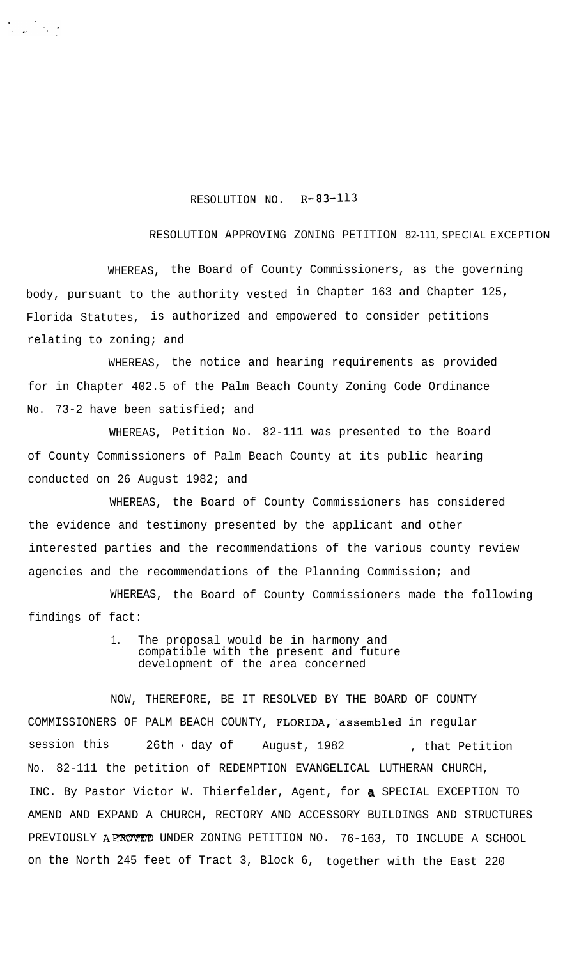## RESOLUTION NO. R-83-113

## RESOLUTION APPROVING ZONING PETITION 82-111, SPECIAL EXCEPTION

WHEREAS, the Board of County Commissioners, as the governing body, pursuant to the authority vested in Chapter 163 and Chapter 125, Florida Statutes, is authorized and empowered to consider petitions relating to zoning; and

WHEREAS, the notice and hearing requirements as provided for in Chapter 402.5 of the Palm Beach County Zoning Code Ordinance No. 73-2 have been satisfied; and

WHEREAS, Petition No. 82-111 was presented to the Board of County Commissioners of Palm Beach County at its public hearing conducted on 26 August 1982; and

WHEREAS, the Board of County Commissioners has considered the evidence and testimony presented by the applicant and other interested parties and the recommendations of the various county review agencies and the recommendations of the Planning Commission; and

WHEREAS, the Board of County Commissioners made the following findings of fact:

> 1. The proposal would be in harmony and compatible with the present and future development of the area concerned

NOW, THEREFORE, BE IT RESOLVED BY THE BOARD OF COUNTY COMMISSIONERS OF PALM BEACH COUNTY, FLORIDA,'assembled in regular session this 26th I day of August, 1982 , that Petition No. 82-111 the petition of REDEMPTION EVANGELICAL LUTHERAN CHURCH, INC. By Pastor Victor W. Thierfelder, Agent, for a SPECIAL EXCEPTION TO AMEND AND EXPAND A CHURCH, RECTORY AND ACCESSORY BUILDINGS AND STRUCTURES PREVIOUSLY APROVED UNDER ZONING PETITION NO. 76-163, TO INCLUDE A SCHOOL on the North 245 feet of Tract 3, Block 6, together with the East 220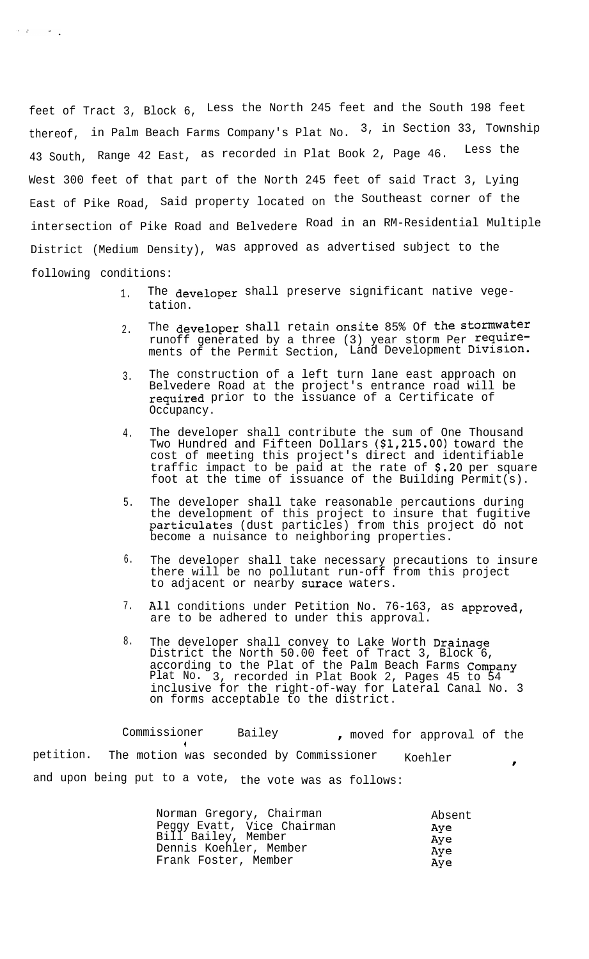feet of Tract 3, Block 6, Less the North 245 feet and the South 198 feet thereof, in Palm Beach Farms Company's Plat No.  $3$ , in Section 33, Township 43 South, Range 42 East, as recorded in Plat Book 2, Page 46. Less the West 300 feet of that part of the North 245 feet of said Tract 3, Lying East of Pike Road, Said property located on the Southeast corner of the intersection of Pike Road and Belvedere Road in an RM-Residential Multiple District (Medium Density), was approved as advertised subject to the following conditions:

 $\label{eq:2.1} \mathcal{L}(\mathcal{A}) = \mathcal{L}(\mathcal{A}) \mathcal{L}(\mathcal{A})$ 

- 1. The developer shall preserve significant native vegetation.
- 2. The developer shall retain onsite 85% Of the stormwater runoff generated by a three (3) year storm Per\_<sup>require-</sup> ments of the Permit Section, Land Development Division.
- 3. The construction of a left turn lane east approach on Belvedere Road at the project's entrance road will be required prior to the issuance of a Certificate of Occupancy.
- 4. The developer shall contribute the sum of One Thousand Two Hundred and Fifteen Dollars (\$1,215.00) toward the cost of meeting this project's direct and identifiable traffic impact to be paid at the rate of \$.20 per square foot at the time of issuance of the Building Permit(s).
- 5. The developer shall take reasonable percautions during the development of this project to insure that fugitive particulates (dust particles) from this project do not become a nuisance to neighboring properties.
- 6. The developer shall take necessary precautions to insure there will be no pollutant run-off from this project to adjacent or nearby surace waters.
- 7. All conditions under Petition No. 76-163, as approved, are to be adhered to under this approval.
- 8. The developer shall convey to Lake Worth Drainage District the North 50.00 feet of Tract 3, Block 6, according to the Plat of the Palm Beach Farms Company Plat No. 3, recorded in Plat Book 2, Pages 45 to 54 inclusive for the right-of-way for Lateral Canal No. 3 on forms acceptable to the district.

Commissioner Bailey , moved for approval of the 1 petition. The motion was seconded by Commissioner Koehler and upon being put to a vote, the vote was as follows:

| Norman Gregory, Chairman   | Absent |
|----------------------------|--------|
| Peggy Evatt, Vice Chairman | Aye    |
| Bill Bailey, Member        | Aye    |
| Dennis Koehler, Member     | Aye    |
| Frank Foster, Member       | Aye    |